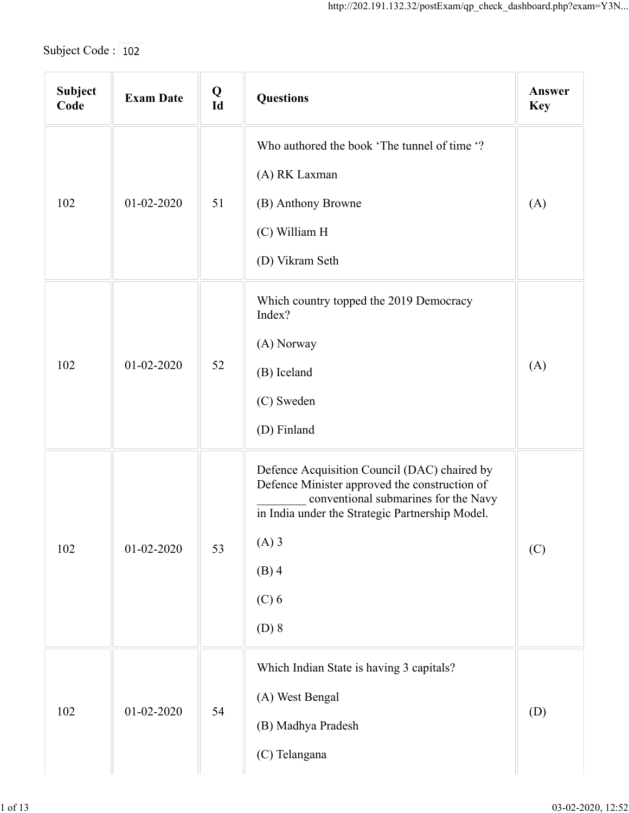| Subject Code: 102 |                  |             | http://202.191.132.32/postExam/qp_check_dashboard.php?exam=Y3N                                                                                                                                                                       |                      |
|-------------------|------------------|-------------|--------------------------------------------------------------------------------------------------------------------------------------------------------------------------------------------------------------------------------------|----------------------|
| Subject<br>Code   | <b>Exam Date</b> | $Q$<br>$Id$ | <b>Questions</b>                                                                                                                                                                                                                     | Answer<br><b>Key</b> |
|                   |                  |             | Who authored the book 'The tunnel of time '?<br>(A) RK Laxman                                                                                                                                                                        |                      |
| 102               | 01-02-2020       | 51          | (B) Anthony Browne<br>(C) William H<br>(D) Vikram Seth                                                                                                                                                                               | (A)                  |
| 102               | 01-02-2020       | 52          | Which country topped the 2019 Democracy<br>Index?<br>(A) Norway<br>(B) Iceland<br>(C) Sweden<br>(D) Finland                                                                                                                          | (A)                  |
|                   | 01-02-2020       | 53          | Defence Acquisition Council (DAC) chaired by<br>Defence Minister approved the construction of<br>conventional submarines for the Navy<br>in India under the Strategic Partnership Model.<br>$(A)$ 3<br>$(B)$ 4<br>$(C)$ 6<br>$(D)$ 8 | (C)                  |
| 102               | $01 - 02 - 2020$ | 54          | Which Indian State is having 3 capitals?<br>(A) West Bengal<br>(B) Madhya Pradesh<br>(C) Telangana                                                                                                                                   | (D)                  |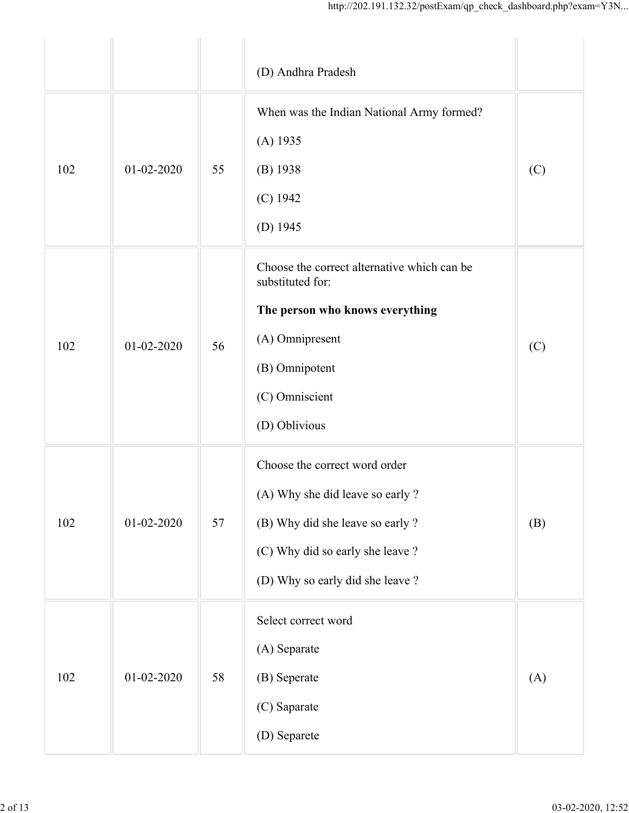|     |                  |    | http://202.191.132.32/postExam/qp_check_dashboard.php?exam=Y3N                                                                                                                |     |
|-----|------------------|----|-------------------------------------------------------------------------------------------------------------------------------------------------------------------------------|-----|
|     |                  |    | (D) Andhra Pradesh                                                                                                                                                            |     |
| 102 | $01 - 02 - 2020$ | 55 | When was the Indian National Army formed?<br>$(A)$ 1935<br>$(B)$ 1938<br>$(C)$ 1942<br>(D) $1945$                                                                             | (C) |
| 102 | 01-02-2020       | 56 | Choose the correct alternative which can be<br>substituted for:<br>The person who knows everything<br>(A) Omnipresent<br>(B) Omnipotent<br>(C) Omniscient<br>(D) Oblivious    | (C) |
| 102 | $01 - 02 - 2020$ | 57 | Choose the correct word order<br>(A) Why she did leave so early ?<br>(B) Why did she leave so early ?<br>(C) Why did so early she leave ?<br>(D) Why so early did she leave ? | (B) |
| 102 | $01 - 02 - 2020$ | 58 | Select correct word<br>(A) Separate<br>(B) Seperate<br>(C) Saparate<br>(D) Separete                                                                                           | (A) |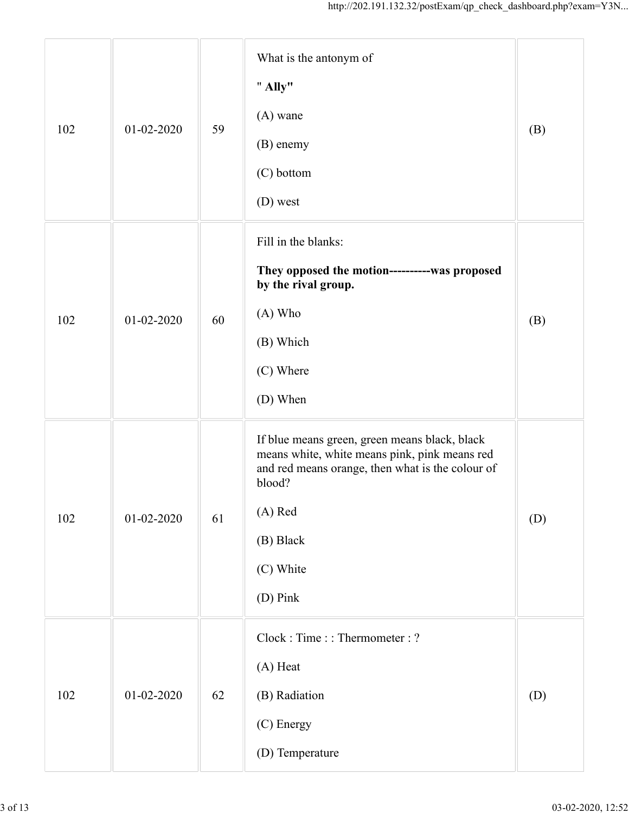|     |                  |    | http://202.191.132.32/postExam/qp_check_dashboard.php?exam=Y3N                                                                                                                                                |     |
|-----|------------------|----|---------------------------------------------------------------------------------------------------------------------------------------------------------------------------------------------------------------|-----|
| 102 | $01 - 02 - 2020$ | 59 | What is the antonym of<br>" Ally"<br>$(A)$ wane<br>(B) enemy<br>(C) bottom<br>(D) west                                                                                                                        | (B) |
| 102 | 01-02-2020       | 60 | Fill in the blanks:<br>They opposed the motion-----------was proposed<br>by the rival group.<br>(A) Who<br>(B) Which<br>(C) Where<br>(D) When                                                                 | (B) |
| 102 | 01-02-2020       | 61 | If blue means green, green means black, black<br>means white, white means pink, pink means red<br>and red means orange, then what is the colour of<br>blood?<br>(A) Red<br>(B) Black<br>(C) White<br>(D) Pink | (D) |
| 102 | $01 - 02 - 2020$ | 62 | Clock: Time:: Thermometer: ?<br>(A) Heat<br>(B) Radiation<br>(C) Energy<br>(D) Temperature                                                                                                                    | (D) |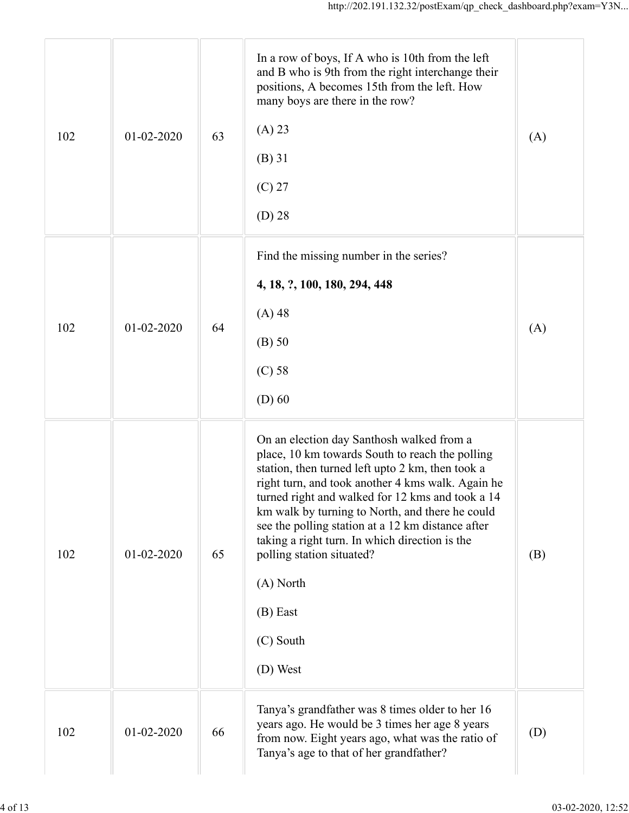|     |                  |    | http://202.191.132.32/postExam/qp_check_dashboard.php?exam=Y3N                                                                                                                                                                                                                                                                                                                                                                                                                                       |     |
|-----|------------------|----|------------------------------------------------------------------------------------------------------------------------------------------------------------------------------------------------------------------------------------------------------------------------------------------------------------------------------------------------------------------------------------------------------------------------------------------------------------------------------------------------------|-----|
| 102 | 01-02-2020       | 63 | In a row of boys, If A who is 10th from the left<br>and B who is 9th from the right interchange their<br>positions, A becomes 15th from the left. How<br>many boys are there in the row?<br>(A) 23<br>$(B)$ 31<br>$(C)$ 27<br>$(D)$ 28                                                                                                                                                                                                                                                               | (A) |
| 102 | 01-02-2020       | 64 | Find the missing number in the series?<br>4, 18, ?, 100, 180, 294, 448<br>$(A)$ 48<br>$(B)$ 50<br>$(C)$ 58<br>$(D)$ 60                                                                                                                                                                                                                                                                                                                                                                               | (A) |
| 102 | $01 - 02 - 2020$ | 65 | On an election day Santhosh walked from a<br>place, 10 km towards South to reach the polling<br>station, then turned left upto 2 km, then took a<br>right turn, and took another 4 kms walk. Again he<br>turned right and walked for 12 kms and took a 14<br>km walk by turning to North, and there he could<br>see the polling station at a 12 km distance after<br>taking a right turn. In which direction is the<br>polling station situated?<br>(A) North<br>$(B)$ East<br>(C) South<br>(D) West | (B) |
| 102 | 01-02-2020       | 66 | Tanya's grandfather was 8 times older to her 16<br>years ago. He would be 3 times her age 8 years<br>from now. Eight years ago, what was the ratio of<br>Tanya's age to that of her grandfather?                                                                                                                                                                                                                                                                                                     | (D) |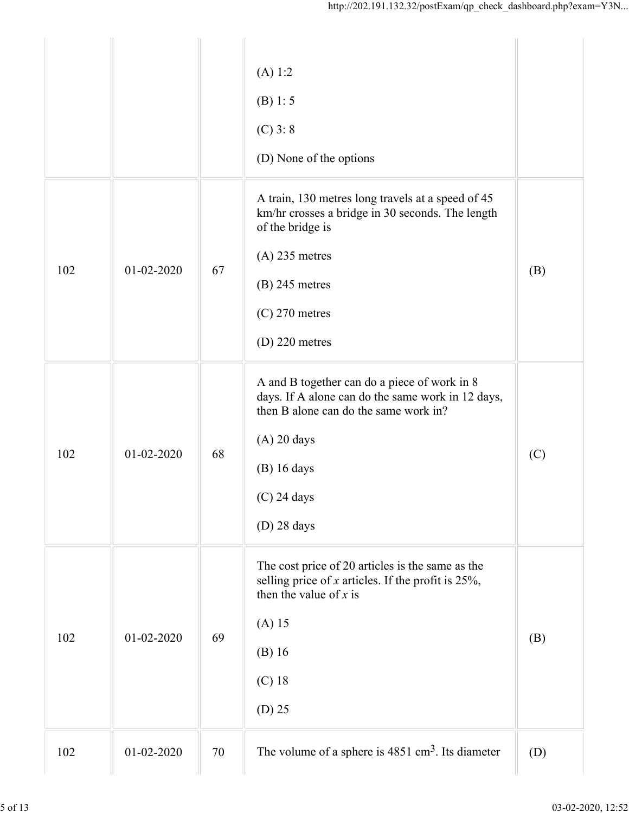| (A) 1:2<br>(B) 1: 5<br>$(C)$ 3: 8<br>(D) None of the options<br>A train, 130 metres long travels at a speed of 45<br>km/hr crosses a bridge in 30 seconds. The length<br>of the bridge is<br>$(A)$ 235 metres<br>102<br>$01 - 02 - 2020$<br>67<br>(B)<br>$(B)$ 245 metres<br>$(C)$ 270 metres<br>$(D)$ 220 metres<br>A and B together can do a piece of work in 8<br>days. If A alone can do the same work in 12 days,<br>then B alone can do the same work in?<br>$(A)$ 20 days<br>102<br>$01 - 02 - 2020$<br>68<br>(C)<br>$(B)$ 16 days<br>$(C)$ 24 days<br>$(D)$ 28 days<br>The cost price of 20 articles is the same as the<br>selling price of $x$ articles. If the profit is 25%,<br>then the value of $x$ is<br>$(A)$ 15<br>102<br>01-02-2020<br>69<br>(B)<br>$(B)$ 16<br>$(C)$ 18<br>$(D)$ 25 |  | http://202.191.132.32/postExam/qp check dashboard.php?exam= $Y3N$ |  |
|-------------------------------------------------------------------------------------------------------------------------------------------------------------------------------------------------------------------------------------------------------------------------------------------------------------------------------------------------------------------------------------------------------------------------------------------------------------------------------------------------------------------------------------------------------------------------------------------------------------------------------------------------------------------------------------------------------------------------------------------------------------------------------------------------------|--|-------------------------------------------------------------------|--|
|                                                                                                                                                                                                                                                                                                                                                                                                                                                                                                                                                                                                                                                                                                                                                                                                       |  |                                                                   |  |
|                                                                                                                                                                                                                                                                                                                                                                                                                                                                                                                                                                                                                                                                                                                                                                                                       |  |                                                                   |  |
|                                                                                                                                                                                                                                                                                                                                                                                                                                                                                                                                                                                                                                                                                                                                                                                                       |  |                                                                   |  |
|                                                                                                                                                                                                                                                                                                                                                                                                                                                                                                                                                                                                                                                                                                                                                                                                       |  |                                                                   |  |
| 01-02-2020<br>(D)<br>102<br>70                                                                                                                                                                                                                                                                                                                                                                                                                                                                                                                                                                                                                                                                                                                                                                        |  | The volume of a sphere is $4851 \text{ cm}^3$ . Its diameter      |  |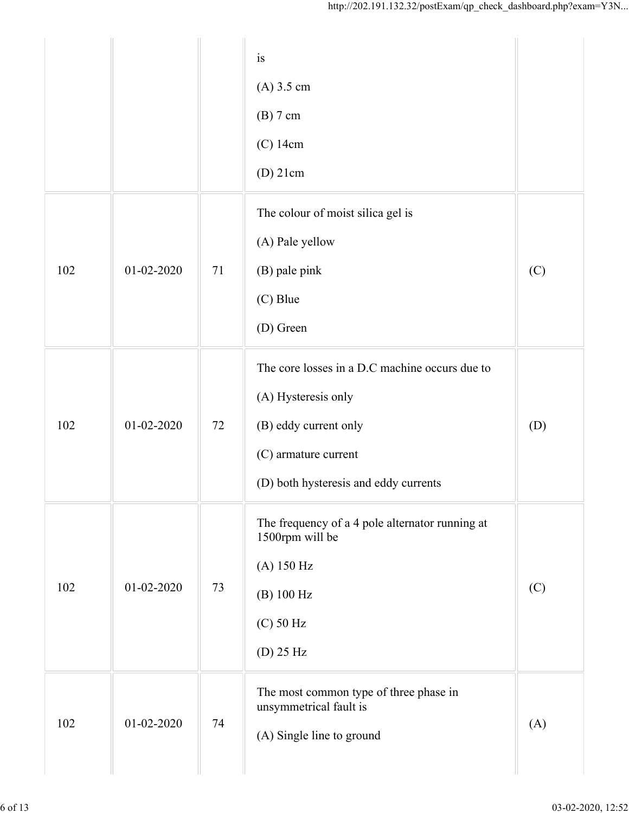|     |                  |    | http://202.191.132.32/postExam/qp_check_dashboard.php?exam= $Y3N$                                                                                               |     |
|-----|------------------|----|-----------------------------------------------------------------------------------------------------------------------------------------------------------------|-----|
|     |                  |    | is<br>$(A)$ 3.5 cm<br>$(B)$ 7 cm<br>$(C)$ 14cm<br>$(D)$ 21cm                                                                                                    |     |
| 102 | 01-02-2020       | 71 | The colour of moist silica gel is<br>(A) Pale yellow<br>(B) pale pink<br>(C) Blue<br>(D) Green                                                                  | (C) |
| 102 | 01-02-2020       | 72 | The core losses in a D.C machine occurs due to<br>(A) Hysteresis only<br>(B) eddy current only<br>(C) armature current<br>(D) both hysteresis and eddy currents | (D) |
| 102 | $01 - 02 - 2020$ | 73 | The frequency of a 4 pole alternator running at<br>1500rpm will be<br>$(A)$ 150 Hz<br>(B) 100 Hz<br>$(C)$ 50 Hz<br>$(D)$ 25 Hz                                  | (C) |
| 102 | 01-02-2020       | 74 | The most common type of three phase in<br>unsymmetrical fault is<br>(A) Single line to ground                                                                   | (A) |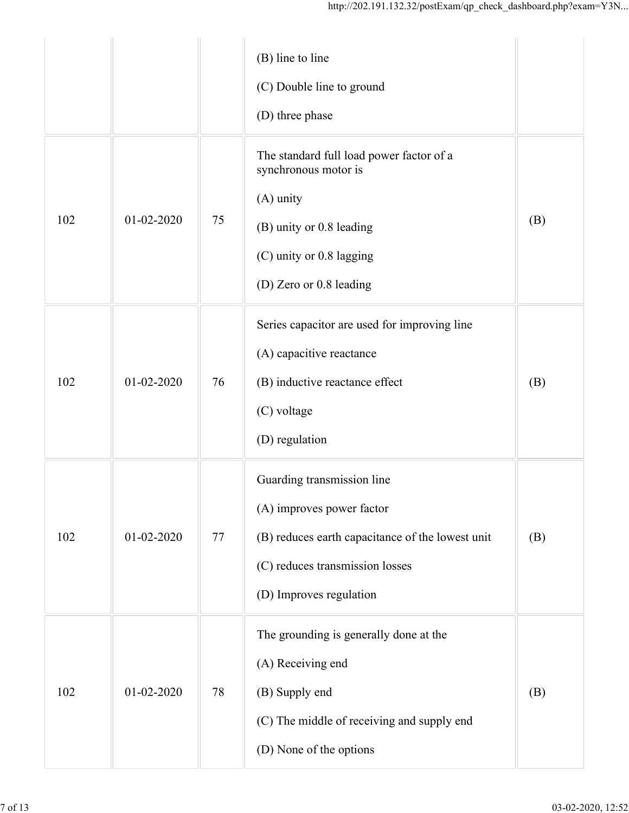|     |                  |        | http://202.191.132.32/postExam/qp_check_dashboard.php?exam=Y3N                                                                                                            |     |
|-----|------------------|--------|---------------------------------------------------------------------------------------------------------------------------------------------------------------------------|-----|
|     |                  |        | (B) line to line<br>(C) Double line to ground<br>(D) three phase                                                                                                          |     |
| 102 | $01 - 02 - 2020$ | 75     | The standard full load power factor of a<br>synchronous motor is<br>(A) unity<br>(B) unity or 0.8 leading<br>(C) unity or 0.8 lagging<br>(D) Zero or 0.8 leading          | (B) |
| 102 | 01-02-2020       | 76     | Series capacitor are used for improving line<br>(A) capacitive reactance<br>(B) inductive reactance effect<br>(C) voltage<br>(D) regulation                               | (B) |
| 102 | $01 - 02 - 2020$ | $77\,$ | Guarding transmission line<br>(A) improves power factor<br>(B) reduces earth capacitance of the lowest unit<br>(C) reduces transmission losses<br>(D) Improves regulation | (B) |
| 102 | $01 - 02 - 2020$ | $78\,$ | The grounding is generally done at the<br>(A) Receiving end<br>(B) Supply end<br>(C) The middle of receiving and supply end<br>(D) None of the options                    | (B) |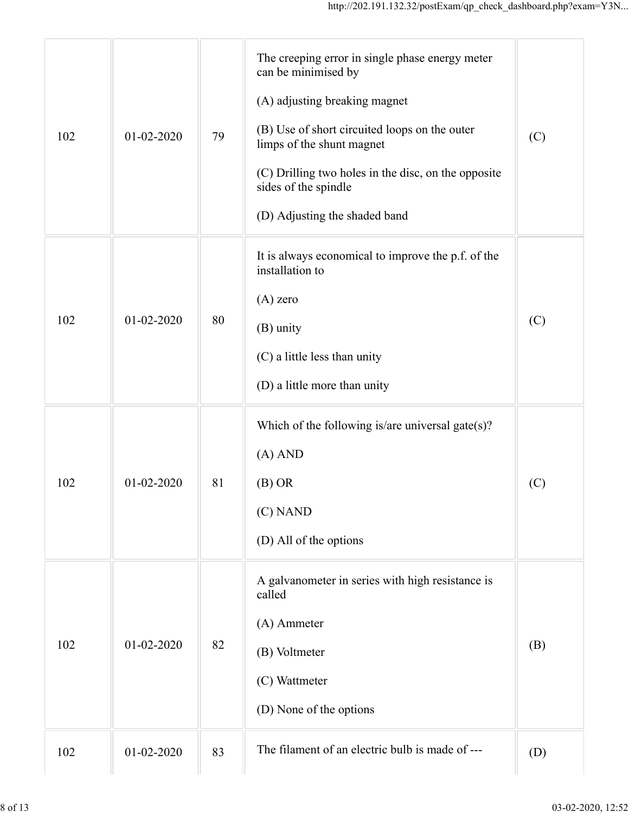|     |                  |    | http://202.191.132.32/postExam/qp_check_dashboard.php?exam=Y3N                                                                                                                                                                                                                                        |     |
|-----|------------------|----|-------------------------------------------------------------------------------------------------------------------------------------------------------------------------------------------------------------------------------------------------------------------------------------------------------|-----|
| 102 | 01-02-2020       | 79 | The creeping error in single phase energy meter<br>can be minimised by<br>(A) adjusting breaking magnet<br>(B) Use of short circuited loops on the outer<br>limps of the shunt magnet<br>(C) Drilling two holes in the disc, on the opposite<br>sides of the spindle<br>(D) Adjusting the shaded band | (C) |
| 102 | $01 - 02 - 2020$ | 80 | It is always economical to improve the p.f. of the<br>installation to<br>$(A)$ zero<br>(B) unity<br>(C) a little less than unity<br>(D) a little more than unity                                                                                                                                      | (C) |
| 102 | 01-02-2020       | 81 | Which of the following is/are universal gate $(s)$ ?<br>$(A)$ AND<br>(B) OR<br>(C) NAND<br>(D) All of the options                                                                                                                                                                                     | (C) |
| 102 | 01-02-2020       | 82 | A galvanometer in series with high resistance is<br>called<br>(A) Ammeter<br>(B) Voltmeter<br>(C) Wattmeter<br>(D) None of the options                                                                                                                                                                | (B) |
| 102 | $01 - 02 - 2020$ | 83 | The filament of an electric bulb is made of ---                                                                                                                                                                                                                                                       | (D) |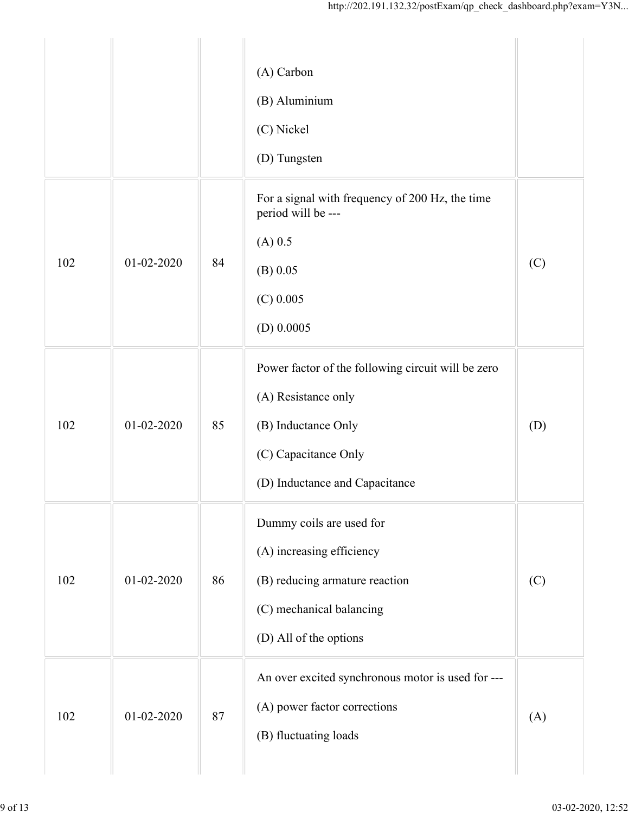|     |                  |    | http://202.191.132.32/postExam/qp_check_dashboard.php?exam=Y3N                                                                                             |     |
|-----|------------------|----|------------------------------------------------------------------------------------------------------------------------------------------------------------|-----|
|     |                  |    | (A) Carbon<br>(B) Aluminium<br>(C) Nickel<br>(D) Tungsten                                                                                                  |     |
| 102 | $01 - 02 - 2020$ | 84 | For a signal with frequency of 200 Hz, the time<br>period will be ---<br>$(A)$ 0.5<br>$(B)$ 0.05<br>$(C)$ 0.005<br>$(D)$ 0.0005                            | (C) |
| 102 | 01-02-2020       | 85 | Power factor of the following circuit will be zero<br>(A) Resistance only<br>(B) Inductance Only<br>(C) Capacitance Only<br>(D) Inductance and Capacitance | (D) |
| 102 | $01 - 02 - 2020$ | 86 | Dummy coils are used for<br>(A) increasing efficiency<br>(B) reducing armature reaction<br>(C) mechanical balancing<br>(D) All of the options              | (C) |
| 102 | $01 - 02 - 2020$ | 87 | An over excited synchronous motor is used for ---<br>(A) power factor corrections<br>(B) fluctuating loads                                                 | (A) |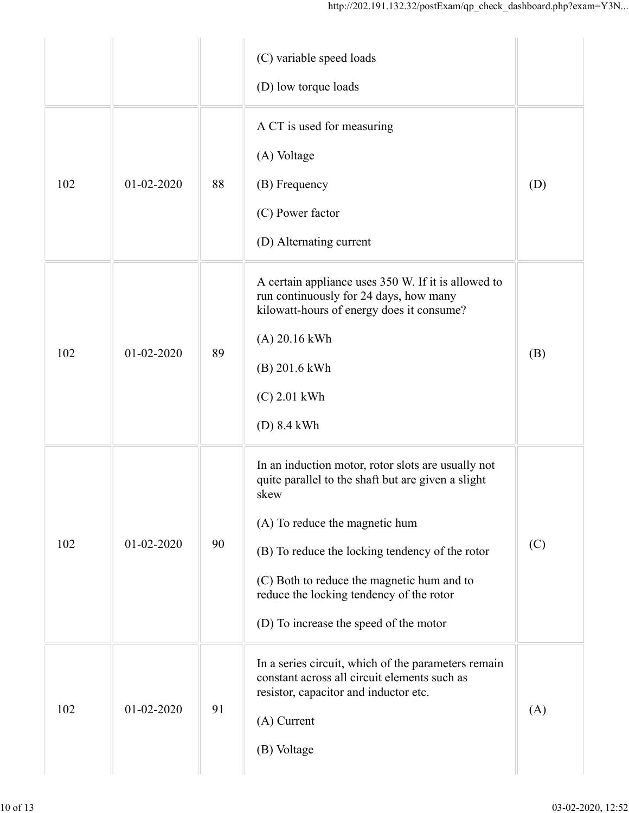|     |            |    | http://202.191.132.32/postExam/qp_check_dashboard.php?exam=Y3N                                                                                                                                                                                                                                                                            |     |
|-----|------------|----|-------------------------------------------------------------------------------------------------------------------------------------------------------------------------------------------------------------------------------------------------------------------------------------------------------------------------------------------|-----|
|     |            |    | (C) variable speed loads<br>(D) low torque loads                                                                                                                                                                                                                                                                                          |     |
| 102 | 01-02-2020 | 88 | A CT is used for measuring<br>(A) Voltage<br>(B) Frequency<br>(C) Power factor<br>(D) Alternating current                                                                                                                                                                                                                                 | (D) |
| 102 | 01-02-2020 | 89 | A certain appliance uses 350 W. If it is allowed to<br>run continuously for 24 days, how many<br>kilowatt-hours of energy does it consume?<br>(A) 20.16 kWh<br>(B) 201.6 kWh<br>$(C)$ 2.01 kWh<br>$(D)$ 8.4 kWh                                                                                                                           | (B) |
| 102 | 01-02-2020 | 90 | In an induction motor, rotor slots are usually not<br>quite parallel to the shaft but are given a slight<br>skew<br>(A) To reduce the magnetic hum<br>(B) To reduce the locking tendency of the rotor<br>(C) Both to reduce the magnetic hum and to<br>reduce the locking tendency of the rotor<br>(D) To increase the speed of the motor | (C) |
| 102 | 01-02-2020 | 91 | In a series circuit, which of the parameters remain<br>constant across all circuit elements such as<br>resistor, capacitor and inductor etc.<br>(A) Current<br>(B) Voltage                                                                                                                                                                | (A) |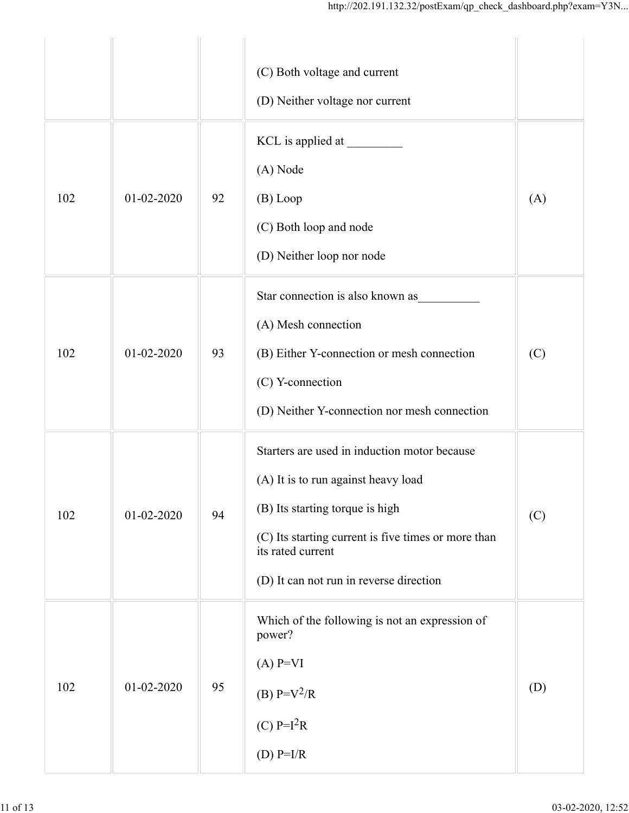|     |            |    | http://202.191.132.32/postExam/qp_check_dashboard.php?exam=Y3N                                                                                                                                                                                |     |  |
|-----|------------|----|-----------------------------------------------------------------------------------------------------------------------------------------------------------------------------------------------------------------------------------------------|-----|--|
|     |            |    | (C) Both voltage and current<br>(D) Neither voltage nor current                                                                                                                                                                               |     |  |
| 102 | 01-02-2020 | 92 | (A) Node<br>(B) Loop<br>(C) Both loop and node<br>(D) Neither loop nor node                                                                                                                                                                   | (A) |  |
| 102 | 01-02-2020 | 93 | Star connection is also known as<br>(A) Mesh connection<br>(B) Either Y-connection or mesh connection<br>(C) Y-connection<br>(D) Neither Y-connection nor mesh connection                                                                     | (C) |  |
| 102 | 01-02-2020 | 94 | Starters are used in induction motor because<br>(A) It is to run against heavy load<br>(B) Its starting torque is high<br>(C) Its starting current is five times or more than<br>its rated current<br>(D) It can not run in reverse direction | (C) |  |
| 102 | 01-02-2020 | 95 | Which of the following is not an expression of<br>power?<br>$(A)$ P=VI<br>(B) $P = V^2/R$<br>(C) $P=I^2R$<br>(D) $P=I/R$                                                                                                                      | (D) |  |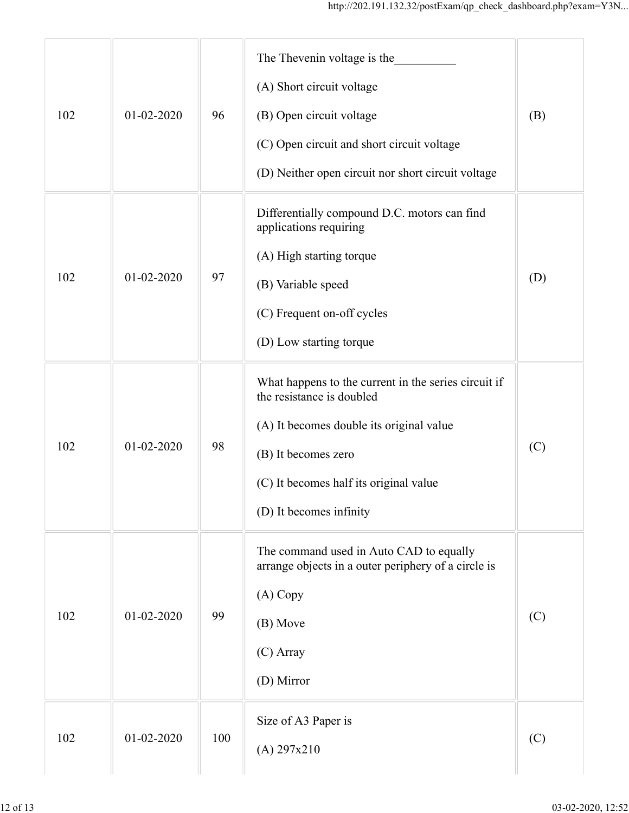|     |                  |     | http://202.191.132.32/postExam/qp_check_dashboard.php?exam=Y3N                                                                                                                                                            |     |
|-----|------------------|-----|---------------------------------------------------------------------------------------------------------------------------------------------------------------------------------------------------------------------------|-----|
| 102 | $01 - 02 - 2020$ | 96  | The Thevenin voltage is the<br>(A) Short circuit voltage<br>(B) Open circuit voltage<br>(C) Open circuit and short circuit voltage<br>(D) Neither open circuit nor short circuit voltage                                  | (B) |
| 102 | 01-02-2020       | 97  | Differentially compound D.C. motors can find<br>applications requiring<br>(A) High starting torque<br>(B) Variable speed<br>(C) Frequent on-off cycles<br>(D) Low starting torque                                         | (D) |
| 102 | 01-02-2020       | 98  | What happens to the current in the series circuit if<br>the resistance is doubled<br>(A) It becomes double its original value<br>(B) It becomes zero<br>(C) It becomes half its original value<br>(D) It becomes infinity | (C) |
| 102 | 01-02-2020       | 99  | The command used in Auto CAD to equally<br>arrange objects in a outer periphery of a circle is<br>(A) Copy<br>(B) Move<br>(C) Array<br>(D) Mirror                                                                         | (C) |
| 102 | 01-02-2020       | 100 | Size of A3 Paper is<br>(A) 297x210                                                                                                                                                                                        | (C) |